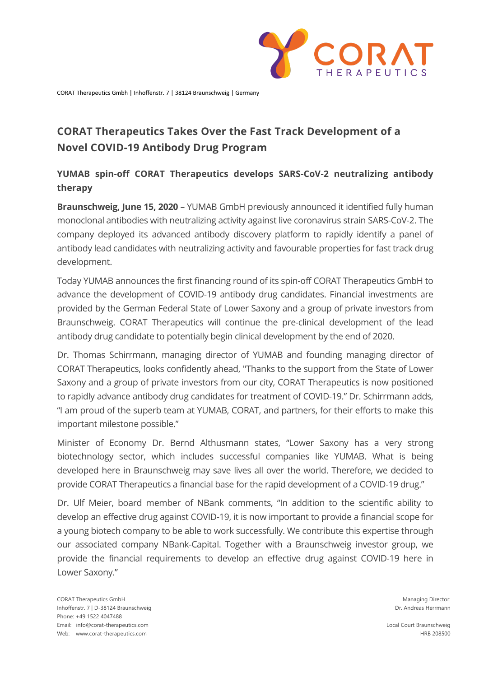

CORAT Therapeutics Gmbh | Inhoffenstr. 7 | 38124 Braunschweig | Germany

# **CORAT Therapeutics Takes Over the Fast Track Development of a Novel COVID-19 Antibody Drug Program**

# **YUMAB spin-off CORAT Therapeutics develops SARS-CoV-2 neutralizing antibody therapy**

**Braunschweig, June 15, 2020** – YUMAB GmbH previously announced it identified fully human monoclonal antibodies with neutralizing activity against live coronavirus strain SARS-CoV-2. The company deployed its advanced antibody discovery platform to rapidly identify a panel of antibody lead candidates with neutralizing activity and favourable properties for fast track drug development.

Today YUMAB announces the first financing round of its spin-off CORAT Therapeutics GmbH to advance the development of COVID-19 antibody drug candidates. Financial investments are provided by the German Federal State of Lower Saxony and a group of private investors from Braunschweig. CORAT Therapeutics will continue the pre-clinical development of the lead antibody drug candidate to potentially begin clinical development by the end of 2020.

Dr. Thomas Schirrmann, managing director of YUMAB and founding managing director of CORAT Therapeutics, looks confidently ahead, "Thanks to the support from the State of Lower Saxony and a group of private investors from our city, CORAT Therapeutics is now positioned to rapidly advance antibody drug candidates for treatment of COVID-19." Dr. Schirrmann adds, "I am proud of the superb team at YUMAB, CORAT, and partners, for their efforts to make this important milestone possible."

Minister of Economy Dr. Bernd Althusmann states, "Lower Saxony has a very strong biotechnology sector, which includes successful companies like YUMAB. What is being developed here in Braunschweig may save lives all over the world. Therefore, we decided to provide CORAT Therapeutics a financial base for the rapid development of a COVID-19 drug."

Dr. Ulf Meier, board member of NBank comments, "In addition to the scientific ability to develop an effective drug against COVID-19, it is now important to provide a financial scope for a young biotech company to be able to work successfully. We contribute this expertise through our associated company NBank-Capital. Together with a Braunschweig investor group, we provide the financial requirements to develop an effective drug against COVID-19 here in Lower Saxony."